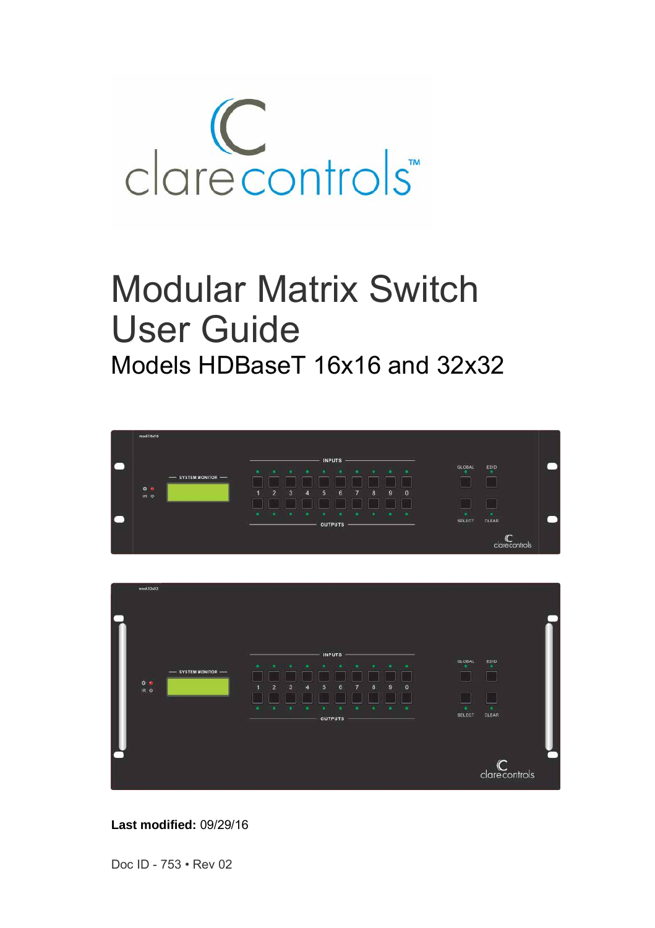

# Modular Matrix Switch User Guide Models HDBaseT 16x16 and 32x32





**Last modified:** 09/29/16

Doc ID - 753 • Rev 02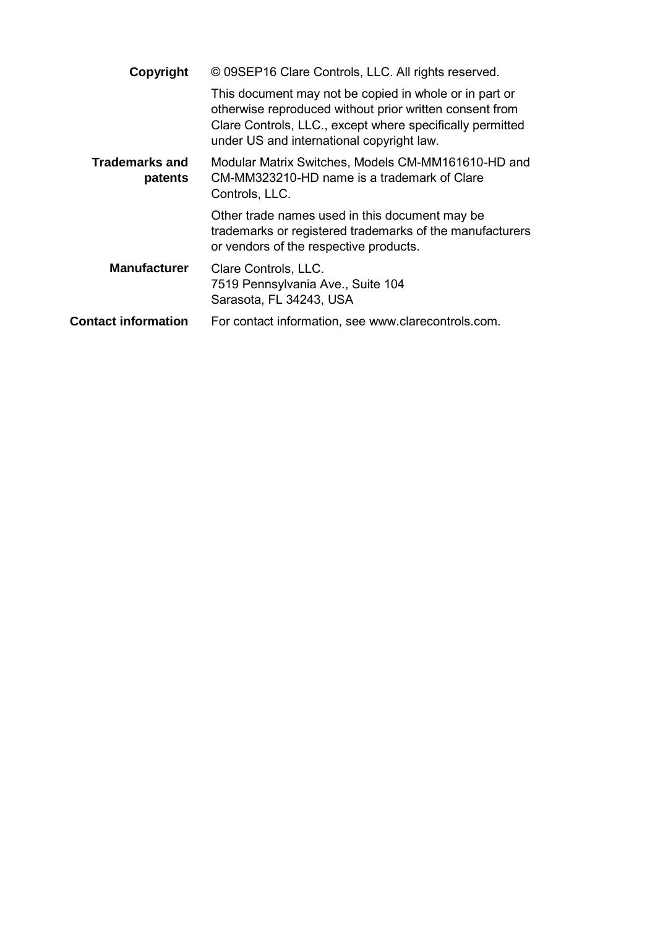| Copyright                        | © 09SEP16 Clare Controls, LLC. All rights reserved.                                                                                                                                                                         |
|----------------------------------|-----------------------------------------------------------------------------------------------------------------------------------------------------------------------------------------------------------------------------|
|                                  | This document may not be copied in whole or in part or<br>otherwise reproduced without prior written consent from<br>Clare Controls, LLC., except where specifically permitted<br>under US and international copyright law. |
| <b>Trademarks and</b><br>patents | Modular Matrix Switches, Models CM-MM161610-HD and<br>CM-MM323210-HD name is a trademark of Clare<br>Controls, LLC.                                                                                                         |
|                                  | Other trade names used in this document may be<br>trademarks or registered trademarks of the manufacturers<br>or vendors of the respective products.                                                                        |
| <b>Manufacturer</b>              | Clare Controls, LLC.<br>7519 Pennsylvania Ave., Suite 104<br>Sarasota, FL 34243, USA                                                                                                                                        |
| <b>Contact information</b>       | For contact information, see www.clarecontrols.com.                                                                                                                                                                         |
|                                  |                                                                                                                                                                                                                             |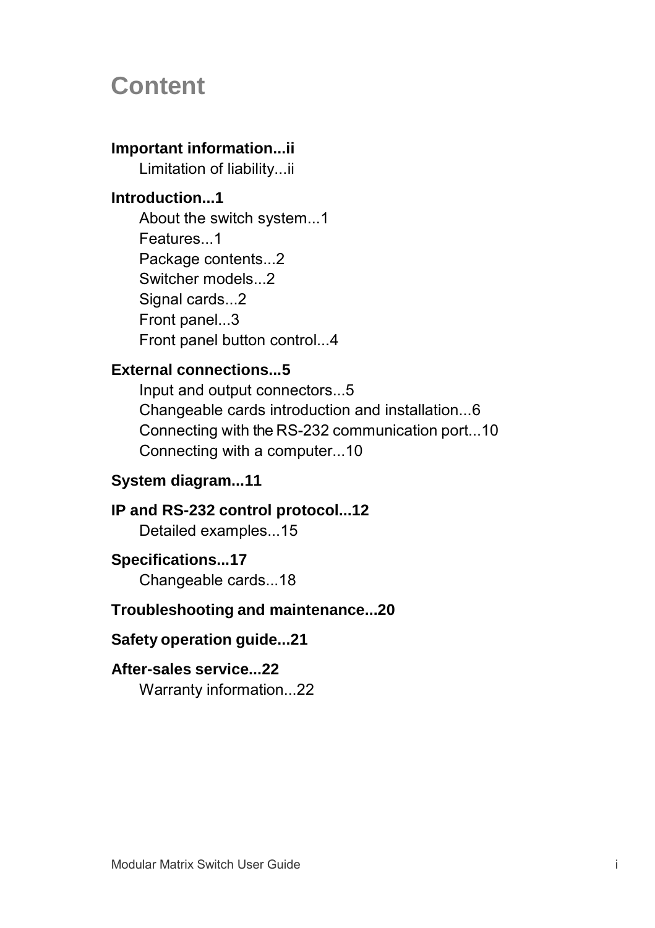# **Content**

## **Important information...ii**

Limitation of liability...ii

## **Introduction...1**

About the switch system...1 Features...1 Package contents...2 Switcher models...2 Signal cards...2 Front panel...3 Front panel button control...4

### **External connections...5**

Input and output connectors...5 Changeable cards introduction and installation...6 Connecting with the RS-232 communication port...10 Connecting with a computer...10

### **System diagram...11**

#### **IP and RS-232 control protocol...12** Detailed examples...15

### **Specifications...17**

Changeable cards...18

### **Troubleshooting and maintenance...20**

### **Safety operation guide...21**

### **After-sales service...22**

Warranty information...22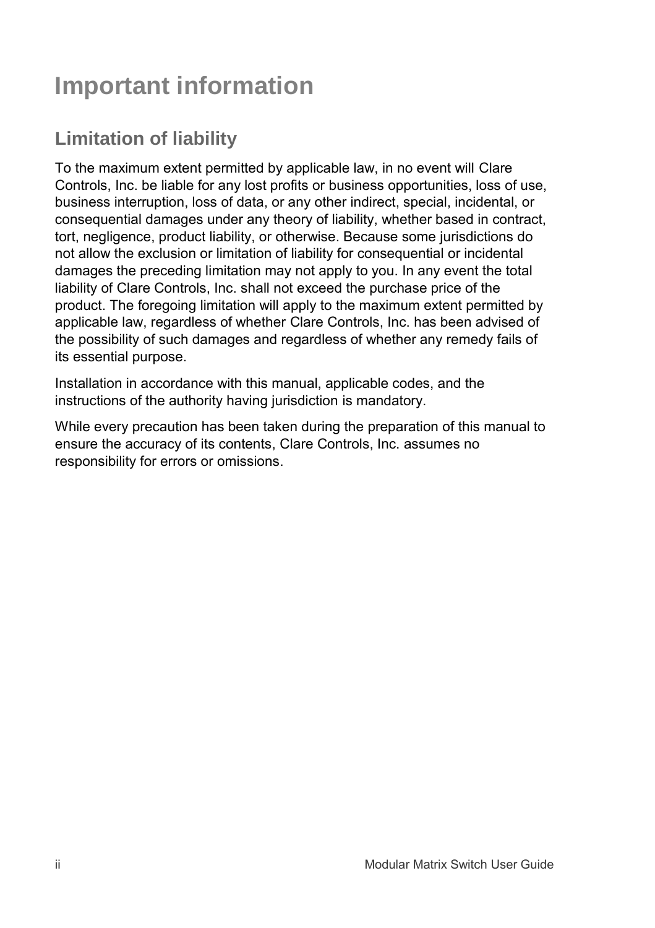# **Important information**

# **Limitation of liability**

To the maximum extent permitted by applicable law, in no event will Clare Controls, Inc. be liable for any lost profits or business opportunities, loss of use, business interruption, loss of data, or any other indirect, special, incidental, or consequential damages under any theory of liability, whether based in contract, tort, negligence, product liability, or otherwise. Because some jurisdictions do not allow the exclusion or limitation of liability for consequential or incidental damages the preceding limitation may not apply to you. In any event the total liability of Clare Controls, Inc. shall not exceed the purchase price of the product. The foregoing limitation will apply to the maximum extent permitted by applicable law, regardless of whether Clare Controls, Inc. has been advised of the possibility of such damages and regardless of whether any remedy fails of its essential purpose.

Installation in accordance with this manual, applicable codes, and the instructions of the authority having jurisdiction is mandatory.

While every precaution has been taken during the preparation of this manual to ensure the accuracy of its contents, Clare Controls, Inc. assumes no responsibility for errors or omissions.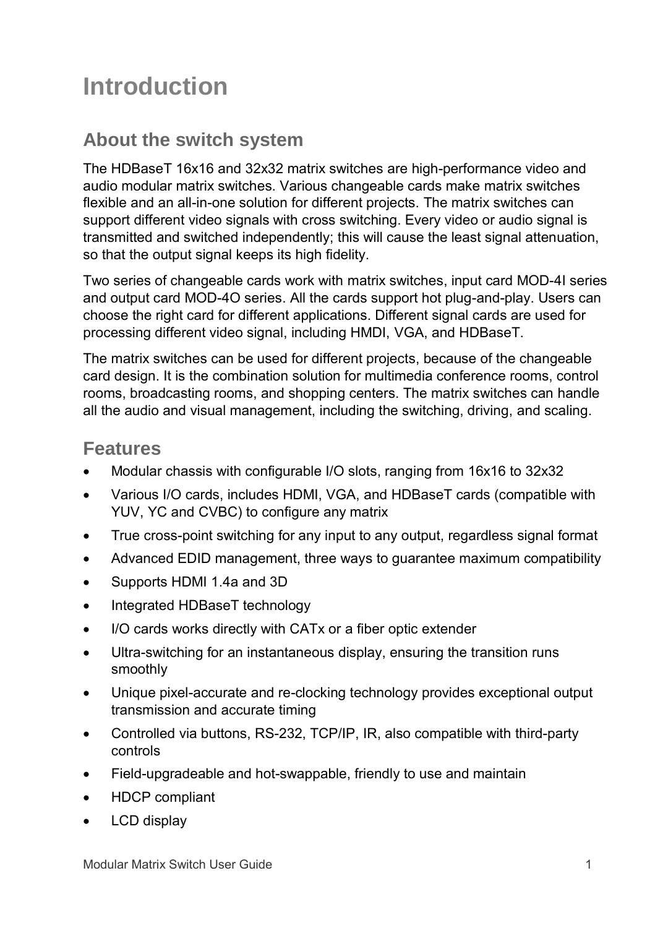# **Introduction**

## **About the switch system**

The HDBaseT 16x16 and 32x32 matrix switches are high-performance video and audio modular matrix switches. Various changeable cards make matrix switches flexible and an all-in-one solution for different projects. The matrix switches can support different video signals with cross switching. Every video or audio signal is transmitted and switched independently; this will cause the least signal attenuation, so that the output signal keeps its high fidelity.

Two series of changeable cards work with matrix switches, input card MOD-4I series and output card MOD-4O series. All the cards support hot plug-and-play. Users can choose the right card for different applications. Different signal cards are used for processing different video signal, including HMDI, VGA, and HDBaseT.

The matrix switches can be used for different projects, because of the changeable card design. It is the combination solution for multimedia conference rooms, control rooms, broadcasting rooms, and shopping centers. The matrix switches can handle all the audio and visual management, including the switching, driving, and scaling.

## **Features**

- Modular chassis with configurable I/O slots, ranging from 16x16 to 32x32
- Various I/O cards, includes HDMI, VGA, and HDBaseT cards (compatible with YUV, YC and CVBC) to configure any matrix
- True cross-point switching for any input to any output, regardless signal format
- Advanced EDID management, three ways to guarantee maximum compatibility
- Supports HDMI 1.4a and 3D
- Integrated HDBaseT technology
- I/O cards works directly with CATx or a fiber optic extender
- Ultra-switching for an instantaneous display, ensuring the transition runs smoothly
- Unique pixel-accurate and re-clocking technology provides exceptional output transmission and accurate timing
- Controlled via buttons, RS-232, TCP/IP, IR, also compatible with third-party controls
- Field-upgradeable and hot-swappable, friendly to use and maintain
- HDCP compliant
- LCD display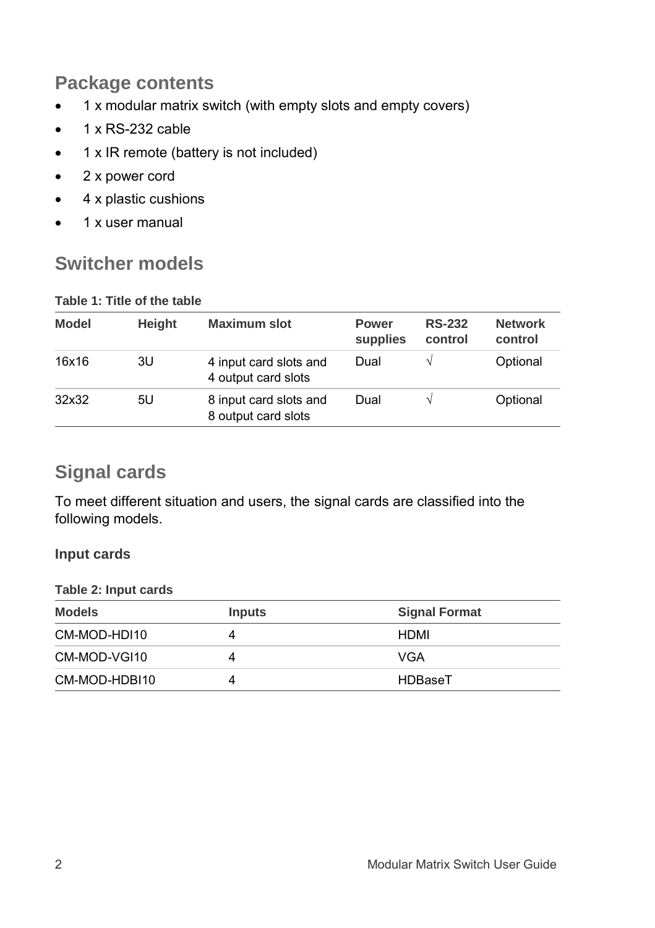## **Package contents**

- 1 x modular matrix switch (with empty slots and empty covers)
- $\bullet$  1 x RS-232 cable
- $\bullet$  1 x IR remote (battery is not included)
- 2 x power cord
- 4 x plastic cushions
- $\bullet$  1 x user manual

## **Switcher models**

#### **Table 1: Title of the table**

| <b>Model</b> | Height | <b>Maximum slot</b>                           | <b>Power</b><br>supplies | <b>RS-232</b><br>control | <b>Network</b><br>control |
|--------------|--------|-----------------------------------------------|--------------------------|--------------------------|---------------------------|
| 16x16        | 3U     | 4 input card slots and<br>4 output card slots | Dual                     |                          | Optional                  |
| 32x32        | 5U     | 8 input card slots and<br>8 output card slots | Dual                     |                          | Optional                  |

## **Signal cards**

To meet different situation and users, the signal cards are classified into the following models.

#### **Input cards**

#### **Table 2: Input cards**

| <b>Models</b> | <b>Inputs</b> | <b>Signal Format</b> |
|---------------|---------------|----------------------|
| CM-MOD-HDI10  |               | HDMI                 |
| CM-MOD-VGI10  | 4             | VGA                  |
| CM-MOD-HDBI10 |               | HDBaseT              |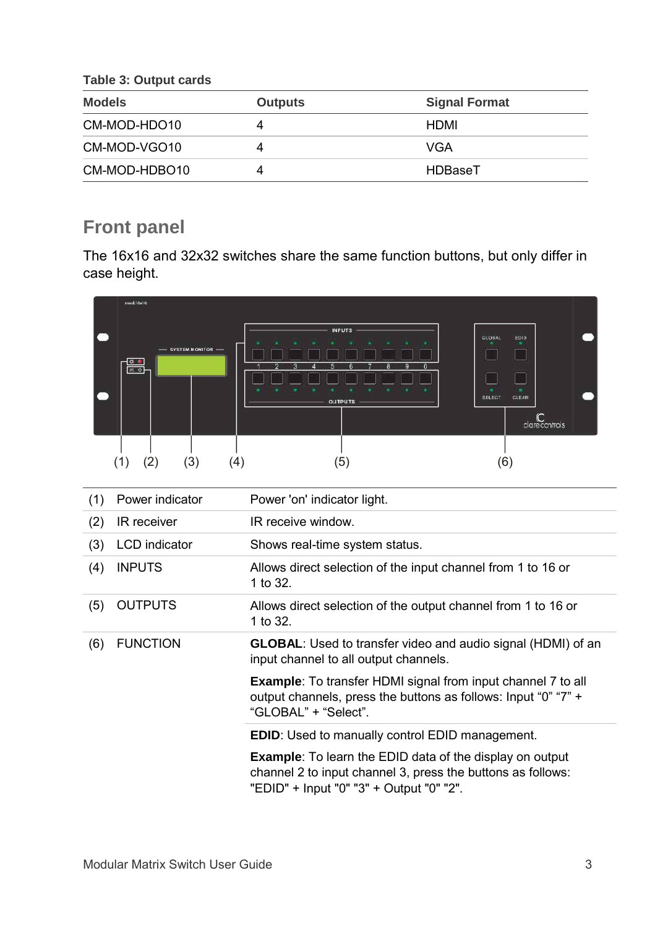**Table 3: Output cards**

| <b>Models</b> | <b>Outputs</b> | <b>Signal Format</b> |
|---------------|----------------|----------------------|
| CM-MOD-HDO10  | 4              | HDMI                 |
| CM-MOD-VGO10  | 4              | VGA                  |
| CM-MOD-HDBO10 | 4              | HDBaseT              |

## **Front panel**

The 16x16 and 32x32 switches share the same function buttons, but only differ in case height.



| (1) | Power indicator      | Power 'on' indicator light.                                                                                                                                                |
|-----|----------------------|----------------------------------------------------------------------------------------------------------------------------------------------------------------------------|
| (2) | IR receiver          | IR receive window.                                                                                                                                                         |
| (3) | <b>LCD</b> indicator | Shows real-time system status.                                                                                                                                             |
| (4) | <b>INPUTS</b>        | Allows direct selection of the input channel from 1 to 16 or<br>1 to 32.                                                                                                   |
| (5) | <b>OUTPUTS</b>       | Allows direct selection of the output channel from 1 to 16 or<br>1 to 32.                                                                                                  |
| (6) | <b>FUNCTION</b>      | <b>GLOBAL:</b> Used to transfer video and audio signal (HDMI) of an<br>input channel to all output channels.                                                               |
|     |                      | <b>Example:</b> To transfer HDMI signal from input channel 7 to all<br>output channels, press the buttons as follows: Input "0" "7" +<br>"GLOBAL" + "Select".              |
|     |                      | <b>EDID:</b> Used to manually control EDID management.                                                                                                                     |
|     |                      | <b>Example:</b> To learn the EDID data of the display on output<br>channel 2 to input channel 3, press the buttons as follows:<br>"EDID" + Input "0" "3" + Output "0" "2". |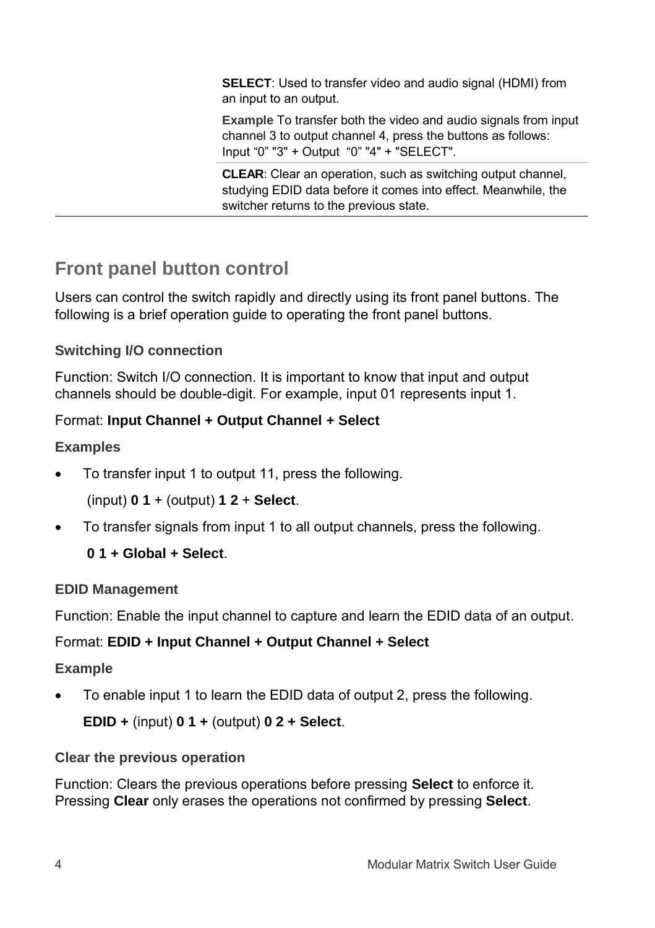**SELECT**: Used to transfer video and audio signal (HDMI) from an input to an output.

**Example** To transfer both the video and audio signals from input channel 3 to output channel 4, press the buttons as follows: Input "0" "3" + Output "0" "4" + "SELECT".

**CLEAR**: Clear an operation, such as switching output channel, studying EDID data before it comes into effect. Meanwhile, the switcher returns to the previous state.

## **Front panel button control**

Users can control the switch rapidly and directly using its front panel buttons. The following is a brief operation guide to operating the front panel buttons.

### **Switching I/O connection**

Function: Switch I/O connection. It is important to know that input and output channels should be double-digit. For example, input 01 represents input 1.

#### Format: **Input Channel + Output Channel + Select**

#### **Examples**

To transfer input 1 to output 11, press the following.

(input) **0 1** + (output) **1 2** + **Select**.

To transfer signals from input 1 to all output channels, press the following.

### **0 1 + Global + Select**.

### **EDID Management**

Function: Enable the input channel to capture and learn the EDID data of an output.

### Format: **EDID + Input Channel + Output Channel + Select**

#### **Example**

To enable input 1 to learn the EDID data of output 2, press the following.

**EDID +** (input) **0 1 +** (output) **0 2 + Select**.

### **Clear the previous operation**

Function: Clears the previous operations before pressing **Select** to enforce it. Pressing **Clear** only erases the operations not confirmed by pressing **Select**.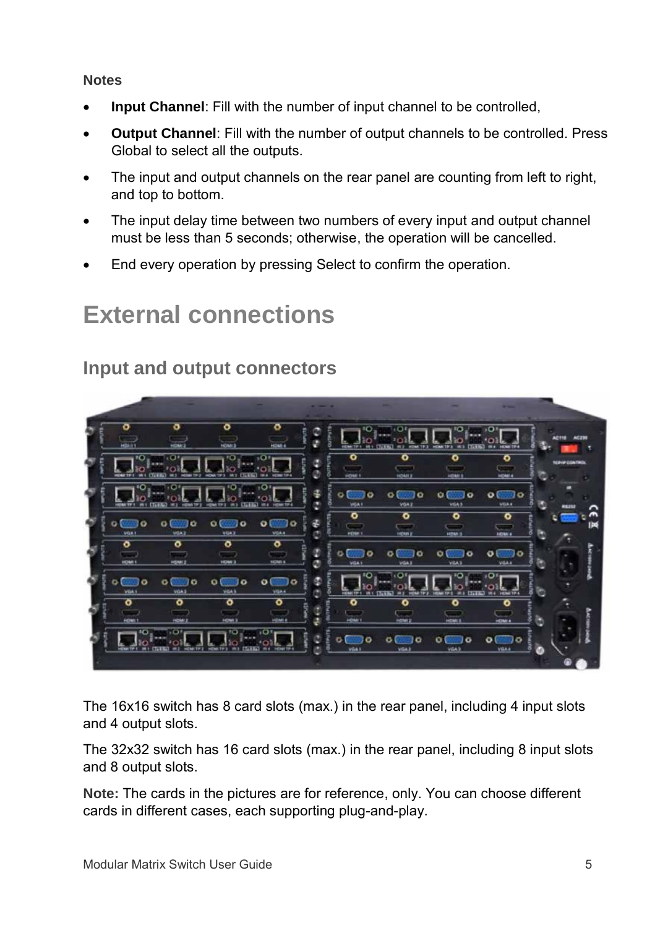#### **Notes**

- **Input Channel**: Fill with the number of input channel to be controlled,
- **Output Channel**: Fill with the number of output channels to be controlled. Press Global to select all the outputs.
- The input and output channels on the rear panel are counting from left to right, and top to bottom.
- The input delay time between two numbers of every input and output channel must be less than 5 seconds; otherwise, the operation will be cancelled.
- End every operation by pressing Select to confirm the operation.

# **External connections**

## **Input and output connectors**



The 16x16 switch has 8 card slots (max.) in the rear panel, including 4 input slots and 4 output slots.

The 32x32 switch has 16 card slots (max.) in the rear panel, including 8 input slots and 8 output slots.

**Note:** The cards in the pictures are for reference, only. You can choose different cards in different cases, each supporting plug-and-play.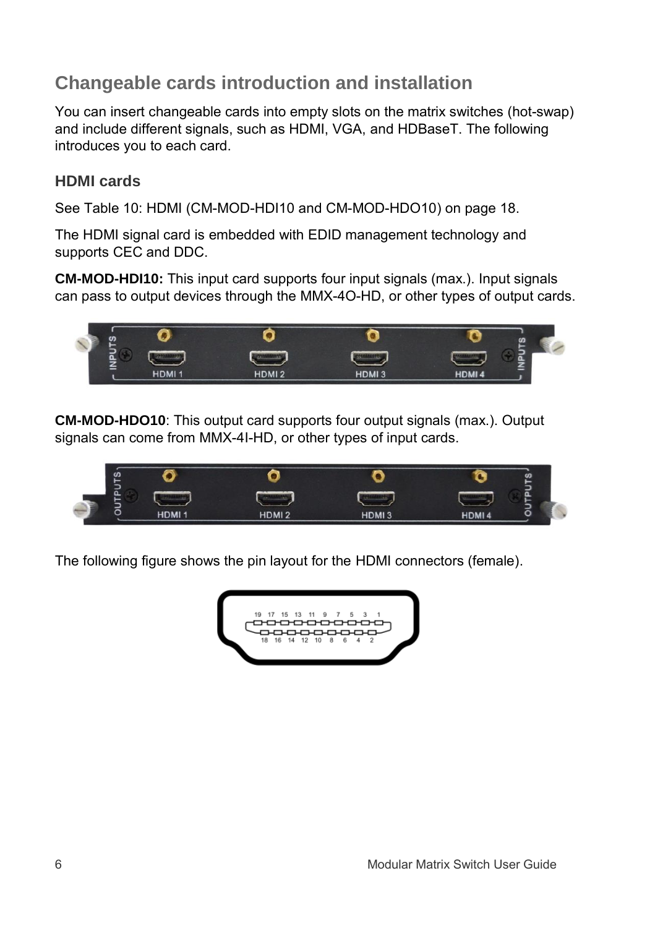## **Changeable cards introduction and installation**

You can insert changeable cards into empty slots on the matrix switches (hot-swap) and include different signals, such as HDMI, VGA, and HDBaseT. The following introduces you to each card.

### **HDMI cards**

See Table [10: HDMI \(CM-MOD-HDI10 and CM-MOD-HDO10\)](#page-21-0) on pag[e 18.](#page-21-0)

The HDMI signal card is embedded with EDID management technology and supports CEC and DDC.

**CM-MOD-HDI10:** This input card supports four input signals (max.). Input signals can pass to output devices through the MMX-4O-HD, or other types of output cards.



**CM-MOD-HDO10**: This output card supports four output signals (max.). Output signals can come from MMX-4I-HD, or other types of input cards.



The following figure shows the pin layout for the HDMI connectors (female).

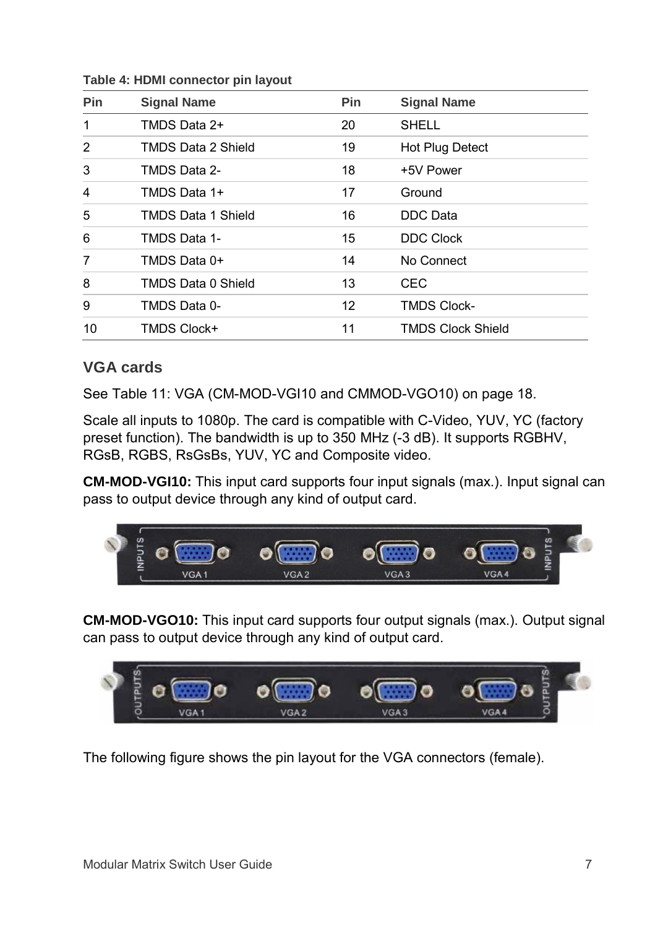| Pin            | <b>Signal Name</b>        | Pin | <b>Signal Name</b>       |
|----------------|---------------------------|-----|--------------------------|
| $\mathbf 1$    | TMDS Data 2+              | 20  | <b>SHELL</b>             |
| $\overline{2}$ | <b>TMDS Data 2 Shield</b> | 19  | Hot Plug Detect          |
| 3              | TMDS Data 2-              | 18  | +5V Power                |
| 4              | TMDS Data 1+              | 17  | Ground                   |
| 5              | <b>TMDS Data 1 Shield</b> | 16  | DDC Data                 |
| 6              | TMDS Data 1-              | 15  | <b>DDC Clock</b>         |
| 7              | TMDS Data 0+              | 14  | No Connect               |
| 8              | <b>TMDS Data 0 Shield</b> | 13  | CEC                      |
| 9              | TMDS Data 0-              | 12  | <b>TMDS Clock-</b>       |
| 10             | <b>TMDS Clock+</b>        | 11  | <b>TMDS Clock Shield</b> |

**Table 4: HDMI connector pin layout**

#### **VGA cards**

See Table [11: VGA \(CM-MOD-VGI10](#page-21-1) and CMMOD-VGO10) on pag[e 18.](#page-21-1)

Scale all inputs to 1080p. The card is compatible with C-Video, YUV, YC (factory preset function). The bandwidth is up to 350 MHz (-3 dB). It supports RGBHV, RGsB, RGBS, RsGsBs, YUV, YC and Composite video.

**CM-MOD-VGI10:** This input card supports four input signals (max.). Input signal can pass to output device through any kind of output card.



**CM-MOD-VGO10:** This input card supports four output signals (max.). Output signal can pass to output device through any kind of output card.



The following figure shows the pin layout for the VGA connectors (female).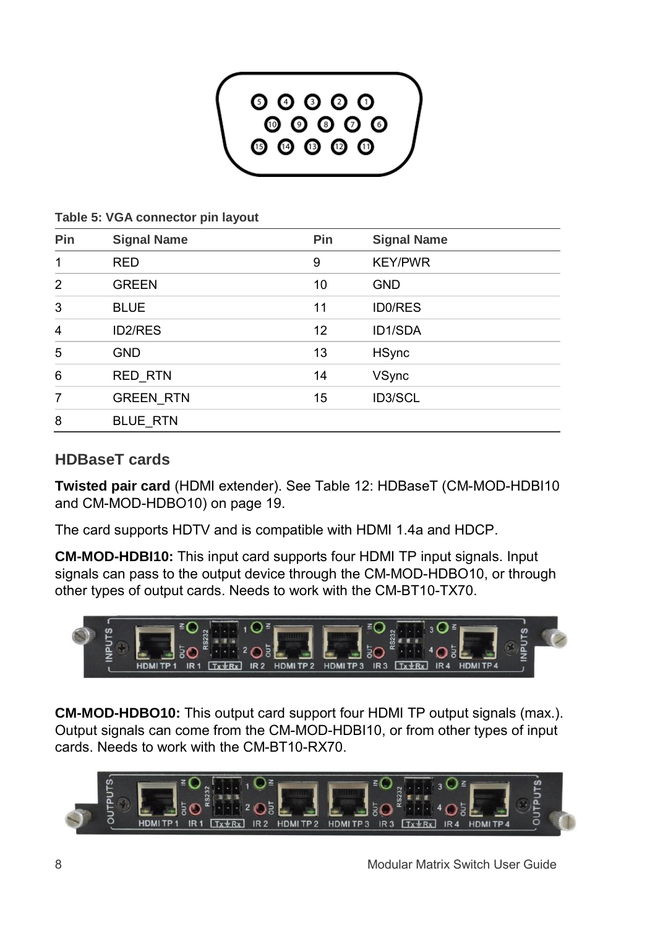

**Table 5: VGA connector pin layout**

| Pin            | <b>Signal Name</b> | <b>Pin</b> | <b>Signal Name</b> |  |
|----------------|--------------------|------------|--------------------|--|
| $\mathbf 1$    | <b>RED</b>         | 9          | <b>KEY/PWR</b>     |  |
| $\overline{2}$ | <b>GREEN</b>       | 10         | <b>GND</b>         |  |
| 3              | <b>BLUE</b>        | 11         | <b>ID0/RES</b>     |  |
| 4              | ID2/RES            | 12         | ID1/SDA            |  |
| 5              | <b>GND</b>         | 13         | <b>HSync</b>       |  |
| 6              | <b>RED RTN</b>     | 14         | VSync              |  |
| 7              | <b>GREEN RTN</b>   | 15         | ID3/SCL            |  |
| 8              | <b>BLUE RTN</b>    |            |                    |  |

### **HDBaseT cards**

**Twisted pair card** (HDMI extender). See Table [12: HDBaseT \(CM-MOD-HDBI10](#page-22-0)  [and CM-MOD-HDBO10\)](#page-22-0) on page [19.](#page-22-0)

The card supports HDTV and is compatible with HDMI 1.4a and HDCP.

**CM-MOD-HDBI10:** This input card supports four HDMI TP input signals. Input signals can pass to the output device through the CM-MOD-HDBO10, or through other types of output cards. Needs to work with the CM-BT10-TX70.



**CM-MOD-HDBO10:** This output card support four HDMI TP output signals (max.). Output signals can come from the CM-MOD-HDBI10, or from other types of input cards. Needs to work with the CM-BT10-RX70.

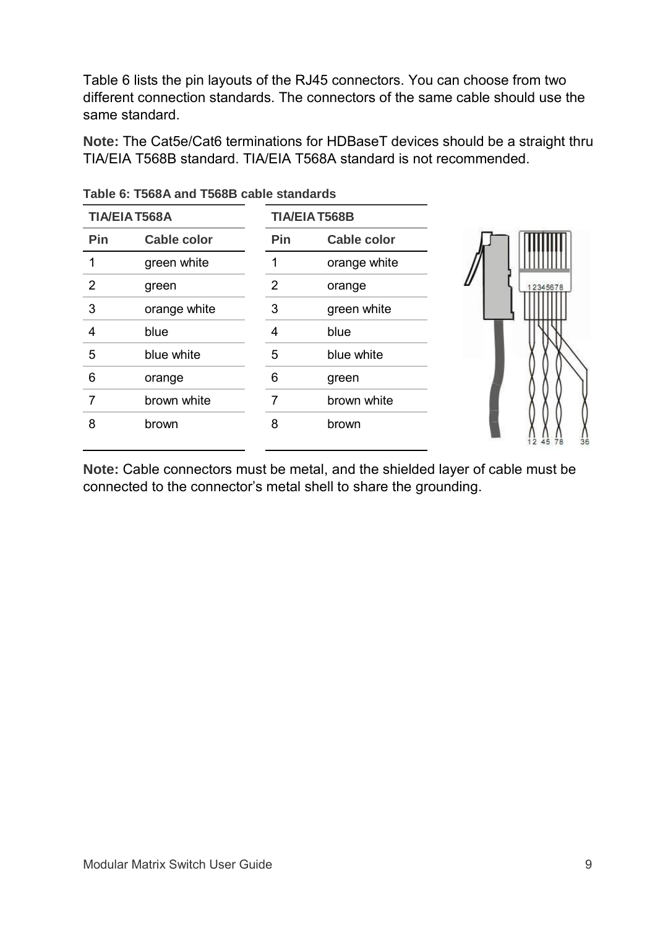[Table](#page-12-0) 6 lists the pin layouts of the RJ45 connectors. You can choose from two different connection standards. The connectors of the same cable should use the same standard.

**Note:** The Cat5e/Cat6 terminations for HDBaseT devices should be a straight thru TIA/EIA T568B standard. TIA/EIA T568A standard is not recommended.

| <b>TIA/EIA T568A</b> |                    |                | <b>TIA/EIA T568B</b> |  |
|----------------------|--------------------|----------------|----------------------|--|
| Pin                  | <b>Cable color</b> | Pin            | <b>Cable color</b>   |  |
|                      | green white        |                | orange white         |  |
| 2                    | green              | $\overline{2}$ | orange               |  |
| 3                    | orange white       | 3              | green white          |  |
| 4                    | blue               | 4              | blue                 |  |
| 5                    | blue white         | 5              | blue white           |  |
| 6                    | orange             | 6              | green                |  |
| 7                    | brown white        | 7              | brown white          |  |
| 8                    | brown              | 8              | brown                |  |

<span id="page-12-0"></span>**Table 6: T568A and T568B cable standards**

**Note:** Cable connectors must be metal, and the shielded layer of cable must be connected to the connector's metal shell to share the grounding.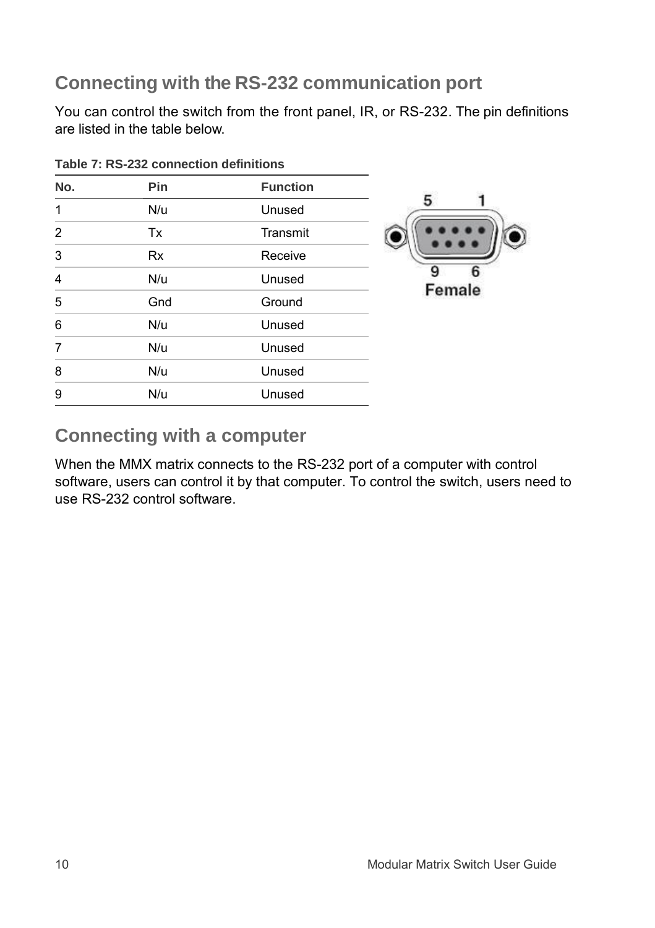## **Connecting with the RS-232 communication port**

You can control the switch from the front panel, IR, or RS-232. The pin definitions are listed in the table below.

| No.            | Pin       | <b>Function</b> |             |
|----------------|-----------|-----------------|-------------|
|                |           |                 |             |
| 1              | N/u       | Unused          |             |
| $\overline{2}$ | Tx        | Transmit        |             |
| 3              | <b>Rx</b> | Receive         |             |
| 4              | N/u       | Unused          | q<br>Female |
| 5              | Gnd       | Ground          |             |
| 6              | N/u       | Unused          |             |
| $\overline{7}$ | N/u       | Unused          |             |
| 8              | N/u       | Unused          |             |
| 9              | N/u       | Unused          |             |

**Table 7: RS-232 connection definitions**

## **Connecting with a computer**

When the MMX matrix connects to the RS-232 port of a computer with control software, users can control it by that computer. To control the switch, users need to use RS-232 control software.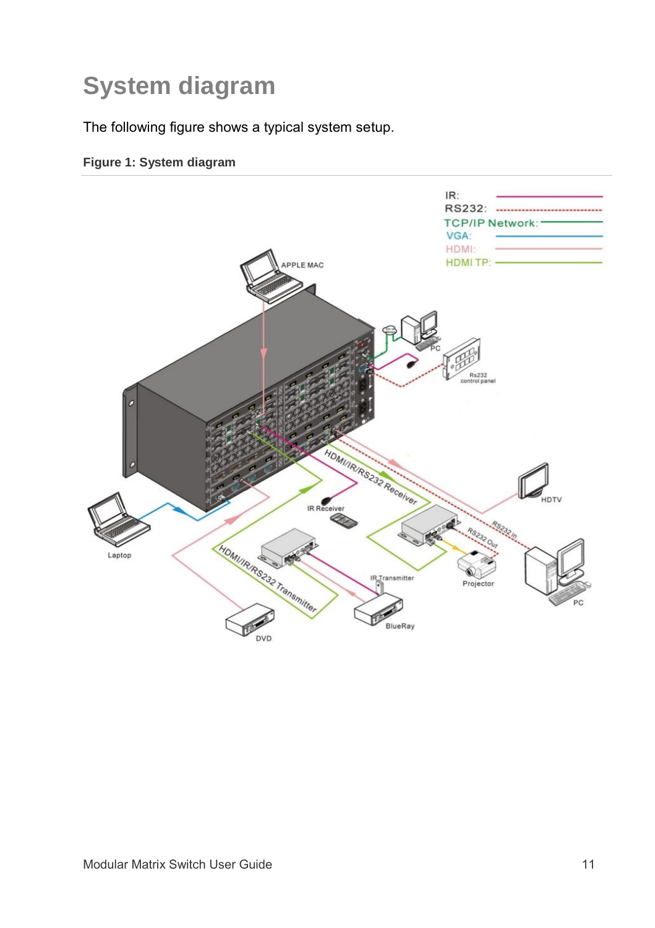# **System diagram**

The following figure shows a typical system setup.

#### **Figure 1: System diagram**

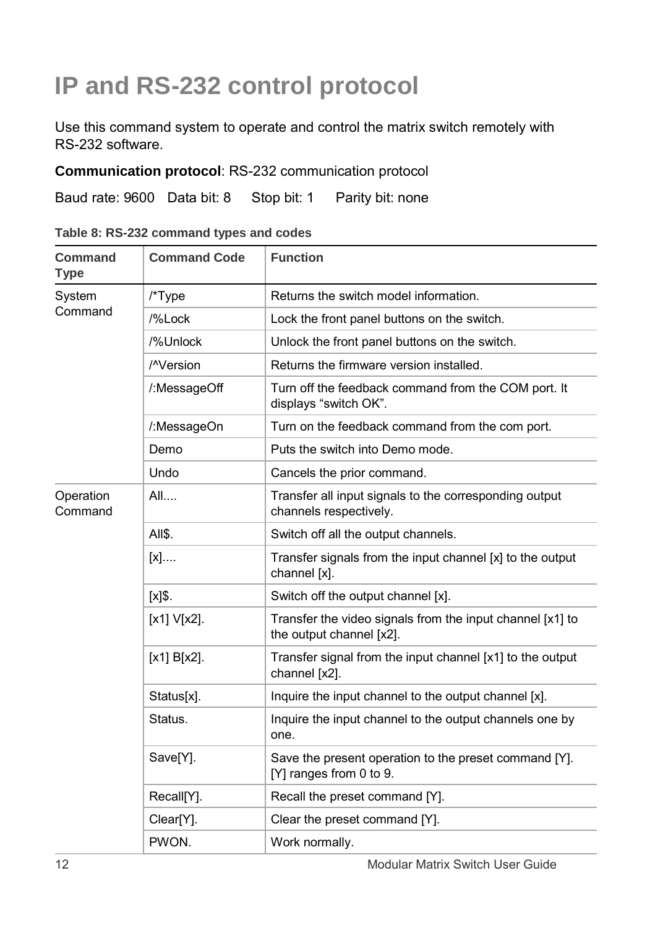# **IP and RS-232 control protocol**

Use this command system to operate and control the matrix switch remotely with RS-232 software.

#### **Communication protocol**: RS-232 communication protocol

Baud rate: 9600 Data bit: 8 Stop bit: 1 Parity bit: none

| Table 8: RS-232 command types and codes |  |  |  |  |
|-----------------------------------------|--|--|--|--|
|-----------------------------------------|--|--|--|--|

| Command<br><b>Type</b> | <b>Command Code</b>    | <b>Function</b>                                                                       |
|------------------------|------------------------|---------------------------------------------------------------------------------------|
| System                 | /*Type                 | Returns the switch model information.                                                 |
| Command                | /%Lock                 | Lock the front panel buttons on the switch.                                           |
|                        | /%Unlock               | Unlock the front panel buttons on the switch.                                         |
|                        | / <sup>N</sup> Version | Returns the firmware version installed.                                               |
|                        | /:MessageOff           | Turn off the feedback command from the COM port. It<br>displays "switch OK".          |
|                        | /:MessageOn            | Turn on the feedback command from the com port.                                       |
|                        | Demo                   | Puts the switch into Demo mode.                                                       |
|                        | Undo                   | Cancels the prior command.                                                            |
| Operation<br>Command   | All                    | Transfer all input signals to the corresponding output<br>channels respectively.      |
|                        | AII\$.                 | Switch off all the output channels.                                                   |
|                        | [x]                    | Transfer signals from the input channel [x] to the output<br>channel [x].             |
|                        | $[x]$ \$.              | Switch off the output channel [x].                                                    |
|                        | [x1] V[x2].            | Transfer the video signals from the input channel [x1] to<br>the output channel [x2]. |
|                        | $[x1] B[x2]$ .         | Transfer signal from the input channel [x1] to the output<br>channel [x2].            |
|                        | Status[x].             | Inquire the input channel to the output channel [x].                                  |
|                        | Status.                | Inquire the input channel to the output channels one by<br>one.                       |
|                        | Save[Y].               | Save the present operation to the preset command [Y].<br>[Y] ranges from 0 to 9.      |
|                        | Recall[Y].             | Recall the preset command [Y].                                                        |
|                        | Clear <sup>[Y]</sup> . | Clear the preset command [Y].                                                         |
|                        | PWON.                  | Work normally.                                                                        |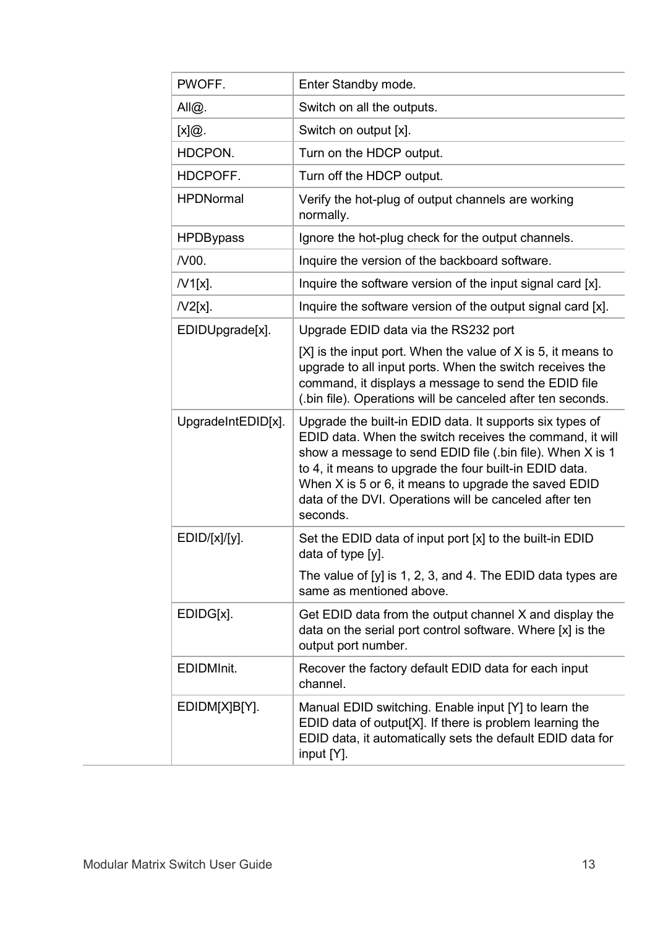| PWOFF.             | Enter Standby mode.                                                                                                                                                                                                                                                                                                                                                       |
|--------------------|---------------------------------------------------------------------------------------------------------------------------------------------------------------------------------------------------------------------------------------------------------------------------------------------------------------------------------------------------------------------------|
| All@.              | Switch on all the outputs.                                                                                                                                                                                                                                                                                                                                                |
| [x]@.              | Switch on output [x].                                                                                                                                                                                                                                                                                                                                                     |
| HDCPON.            | Turn on the HDCP output.                                                                                                                                                                                                                                                                                                                                                  |
| HDCPOFF.           | Turn off the HDCP output.                                                                                                                                                                                                                                                                                                                                                 |
| <b>HPDNormal</b>   | Verify the hot-plug of output channels are working<br>normally.                                                                                                                                                                                                                                                                                                           |
| <b>HPDBypass</b>   | Ignore the hot-plug check for the output channels.                                                                                                                                                                                                                                                                                                                        |
| /V00.              | Inquire the version of the backboard software.                                                                                                                                                                                                                                                                                                                            |
| $N1[x]$ .          | Inquire the software version of the input signal card [x].                                                                                                                                                                                                                                                                                                                |
| $N2[x]$ .          | Inquire the software version of the output signal card [x].                                                                                                                                                                                                                                                                                                               |
| EDIDUpgrade[x].    | Upgrade EDID data via the RS232 port                                                                                                                                                                                                                                                                                                                                      |
|                    | $[X]$ is the input port. When the value of X is 5, it means to<br>upgrade to all input ports. When the switch receives the<br>command, it displays a message to send the EDID file<br>(.bin file). Operations will be canceled after ten seconds.                                                                                                                         |
| UpgradeIntEDID[x]. | Upgrade the built-in EDID data. It supports six types of<br>EDID data. When the switch receives the command, it will<br>show a message to send EDID file (.bin file). When X is 1<br>to 4, it means to upgrade the four built-in EDID data.<br>When X is 5 or 6, it means to upgrade the saved EDID<br>data of the DVI. Operations will be canceled after ten<br>seconds. |
| EDID/[x]/[y].      | Set the EDID data of input port [x] to the built-in EDID<br>data of type [y].                                                                                                                                                                                                                                                                                             |
|                    | The value of [y] is 1, 2, 3, and 4. The EDID data types are<br>same as mentioned above.                                                                                                                                                                                                                                                                                   |
| EDIDG[x].          | Get EDID data from the output channel X and display the<br>data on the serial port control software. Where [x] is the<br>output port number.                                                                                                                                                                                                                              |
| EDIDMInit.         | Recover the factory default EDID data for each input<br>channel.                                                                                                                                                                                                                                                                                                          |
| EDIDM[X]B[Y].      | Manual EDID switching. Enable input [Y] to learn the<br>EDID data of output[X]. If there is problem learning the<br>EDID data, it automatically sets the default EDID data for<br>input [Y].                                                                                                                                                                              |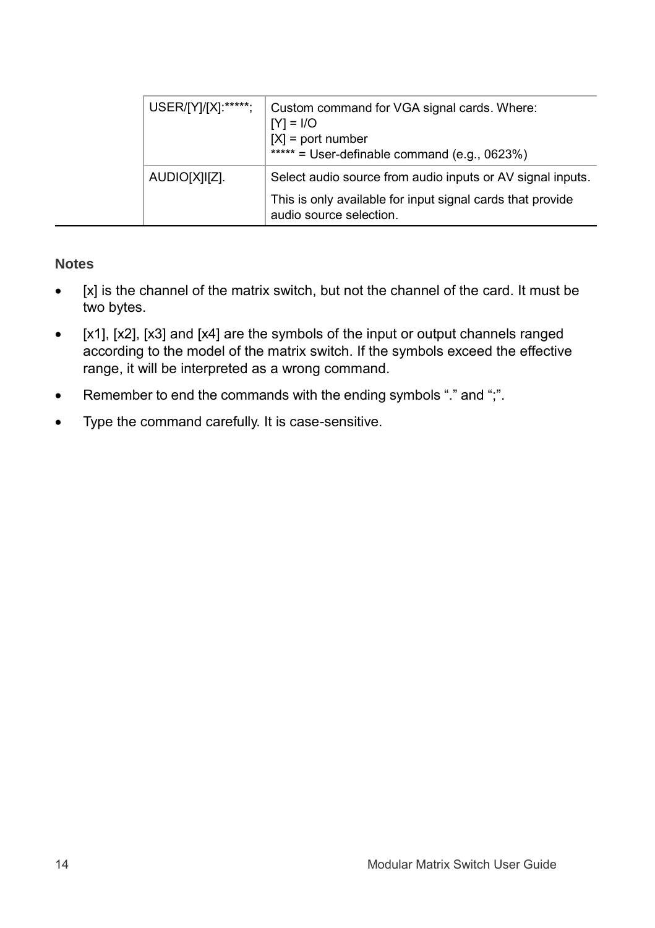|  | USER/[Y]/[X]:*****; | Custom command for VGA signal cards. Where:<br>$[Y] = I/O$<br>$[X]$ = port number<br>***** = User-definable command (e.g., 0623%)                   |
|--|---------------------|-----------------------------------------------------------------------------------------------------------------------------------------------------|
|  | AUDIO[X]I[Z].       | Select audio source from audio inputs or AV signal inputs.<br>This is only available for input signal cards that provide<br>audio source selection. |

#### **Notes**

- $\bullet$  [x] is the channel of the matrix switch, but not the channel of the card. It must be two bytes.
- [x1], [x2], [x3] and [x4] are the symbols of the input or output channels ranged according to the model of the matrix switch. If the symbols exceed the effective range, it will be interpreted as a wrong command.
- Remember to end the commands with the ending symbols "." and ";".
- Type the command carefully. It is case-sensitive.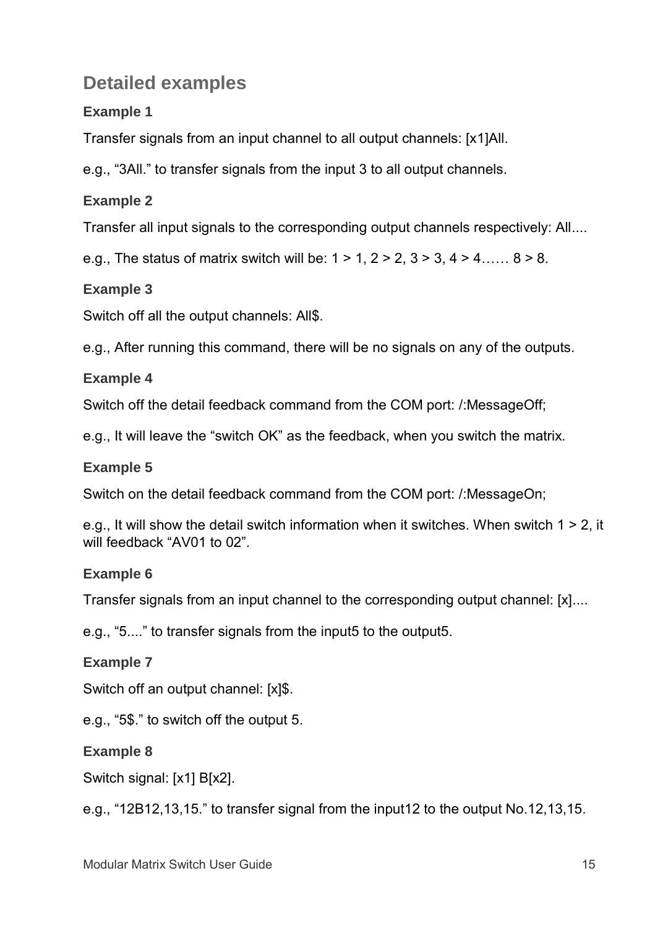## **Detailed examples**

### **Example 1**

Transfer signals from an input channel to all output channels: [x1]All.

e.g., "3All." to transfer signals from the input 3 to all output channels.

### **Example 2**

Transfer all input signals to the corresponding output channels respectively: All....

e.g., The status of matrix switch will be:  $1 > 1$ ,  $2 > 2$ ,  $3 > 3$ ,  $4 > 4$ …...  $8 > 8$ .

### **Example 3**

Switch off all the output channels: All\$.

e.g., After running this command, there will be no signals on any of the outputs.

#### **Example 4**

Switch off the detail feedback command from the COM port: /:MessageOff;

e.g., It will leave the "switch OK" as the feedback, when you switch the matrix.

#### **Example 5**

Switch on the detail feedback command from the COM port: /:MessageOn;

e.g., It will show the detail switch information when it switches. When switch 1 > 2, it will feedback "AV01 to 02".

### **Example 6**

Transfer signals from an input channel to the corresponding output channel: [x]....

e.g., "5...." to transfer signals from the input5 to the output5.

### **Example 7**

Switch off an output channel: [x]\$.

e.g., "5\$." to switch off the output 5.

### **Example 8**

Switch signal: [x1] B[x2].

e.g., "12B12,13,15." to transfer signal from the input12 to the output No.12,13,15.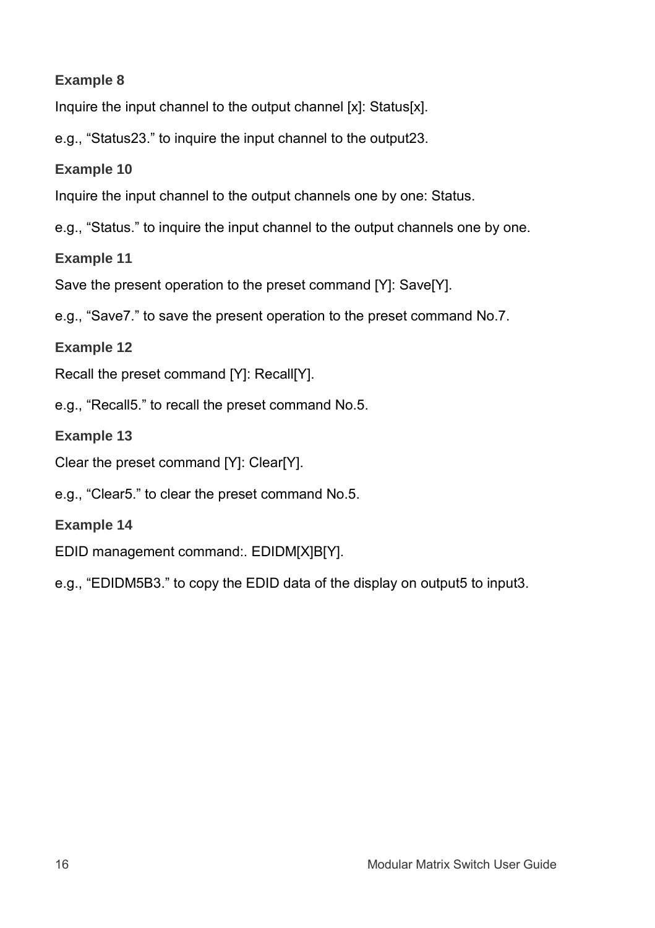#### **Example 8**

Inquire the input channel to the output channel [x]: Status[x].

e.g., "Status23." to inquire the input channel to the output23.

**Example 10**

Inquire the input channel to the output channels one by one: Status.

e.g., "Status." to inquire the input channel to the output channels one by one.

**Example 11**

Save the present operation to the preset command [Y]: Save[Y].

e.g., "Save7." to save the present operation to the preset command No.7.

**Example 12**

Recall the preset command [Y]: Recall[Y].

e.g., "Recall5." to recall the preset command No.5.

**Example 13**

Clear the preset command [Y]: Clear[Y].

e.g., "Clear5." to clear the preset command No.5.

- **Example 14**
- EDID management command:. EDIDM[X]B[Y].

e.g., "EDIDM5B3." to copy the EDID data of the display on output5 to input3.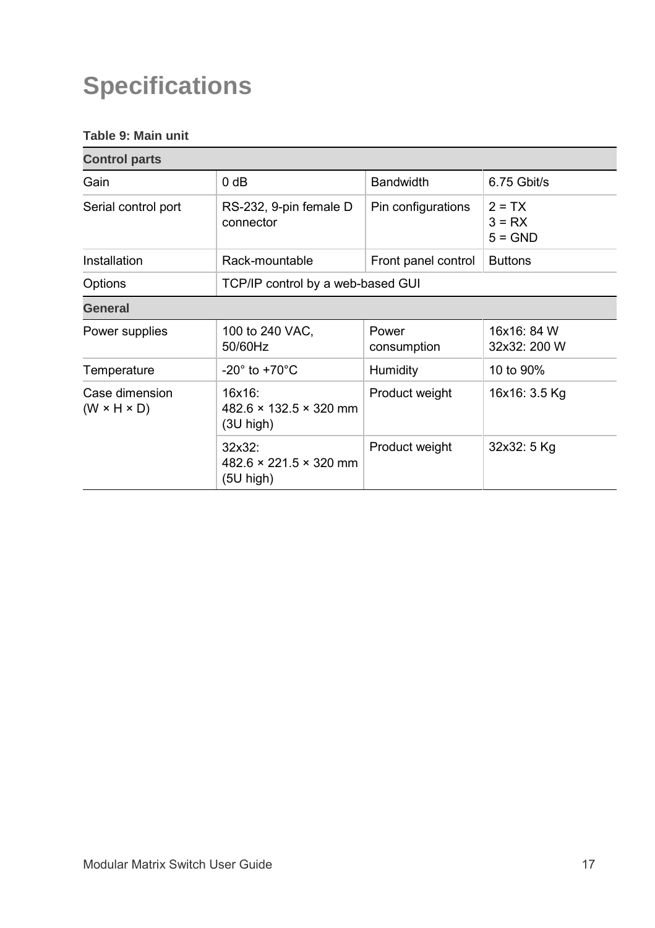# **Specifications**

#### **Table 9: Main unit**

| <b>Control parts</b>                      |                                                             |                      |                                   |
|-------------------------------------------|-------------------------------------------------------------|----------------------|-----------------------------------|
| Gain                                      | 0 dB                                                        | <b>Bandwidth</b>     | $6.75$ Gbit/s                     |
| Serial control port                       | RS-232, 9-pin female D<br>connector                         | Pin configurations   | $2 = TX$<br>$3 = RX$<br>$5 = GND$ |
| Installation                              | Rack-mountable                                              | Front panel control  | <b>Buttons</b>                    |
| Options                                   | TCP/IP control by a web-based GUI                           |                      |                                   |
| <b>General</b>                            |                                                             |                      |                                   |
| Power supplies                            | 100 to 240 VAC,<br>50/60Hz                                  | Power<br>consumption | 16x16: 84 W<br>32x32: 200 W       |
| Temperature                               | $-20^\circ$ to $+70^\circ$ C                                | Humidity             | 10 to 90%                         |
| Case dimension<br>$(W \times H \times D)$ | 16x16:<br>482.6 × 132.5 × 320 mm<br>$(3U$ high)             | Product weight       | 16x16: 3.5 Kg                     |
|                                           | 32x32:<br>$482.6 \times 221.5 \times 320$ mm<br>$(5U$ high) | Product weight       | 32x32: 5 Kg                       |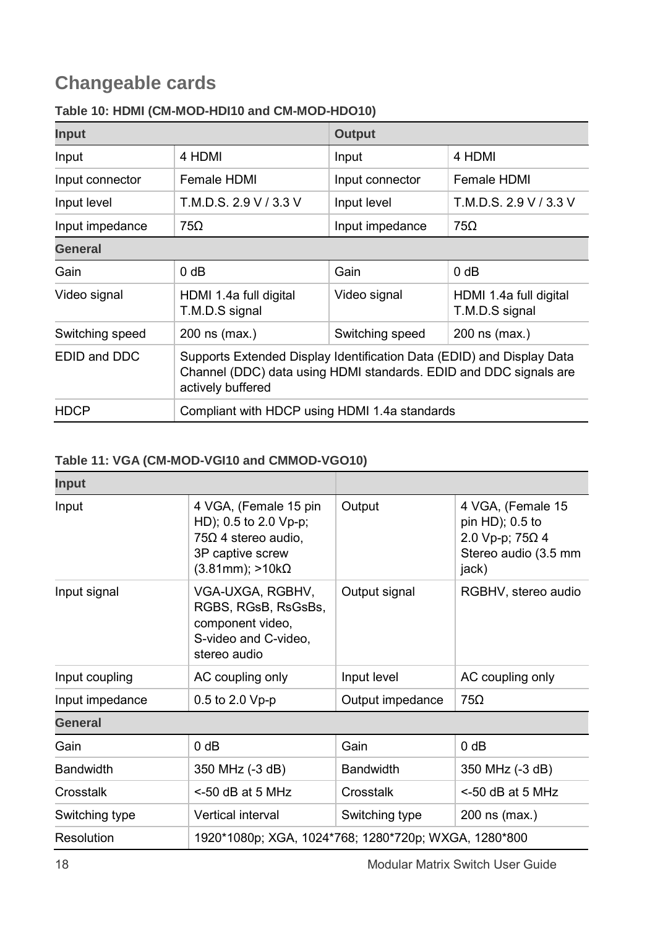# **Changeable cards**

| Input           |                                                                                                                                                                 | Output          |                                          |  |
|-----------------|-----------------------------------------------------------------------------------------------------------------------------------------------------------------|-----------------|------------------------------------------|--|
| Input           | 4 HDMI                                                                                                                                                          | Input           | 4 HDMI                                   |  |
| Input connector | Female HDMI                                                                                                                                                     | Input connector | Female HDMI                              |  |
| Input level     | T.M.D.S. 2.9 V / 3.3 V                                                                                                                                          | Input level     | T.M.D.S. 2.9 V / 3.3 V                   |  |
| Input impedance | 75Ω                                                                                                                                                             | Input impedance | $75\Omega$                               |  |
| General         |                                                                                                                                                                 |                 |                                          |  |
| Gain            | 0 dB                                                                                                                                                            | Gain            | 0 dB                                     |  |
| Video signal    | HDMI 1.4a full digital<br>T.M.D.S signal                                                                                                                        | Video signal    | HDMI 1.4a full digital<br>T.M.D.S signal |  |
| Switching speed | 200 ns (max.)                                                                                                                                                   | Switching speed | 200 ns (max.)                            |  |
| EDID and DDC    | Supports Extended Display Identification Data (EDID) and Display Data<br>Channel (DDC) data using HDMI standards. EDID and DDC signals are<br>actively buffered |                 |                                          |  |
| <b>HDCP</b>     | Compliant with HDCP using HDMI 1.4a standards                                                                                                                   |                 |                                          |  |

#### <span id="page-21-0"></span>**Table 10: HDMI (CM-MOD-HDI10 and CM-MOD-HDO10)**

#### <span id="page-21-1"></span>**Table 11: VGA (CM-MOD-VGI10 and CMMOD-VGO10)**

| Input            |                                                                                                                             |                                                      |                                                                                          |  |
|------------------|-----------------------------------------------------------------------------------------------------------------------------|------------------------------------------------------|------------------------------------------------------------------------------------------|--|
| Input            | 4 VGA, (Female 15 pin<br>HD); 0.5 to 2.0 Vp-p;<br>$75\Omega$ 4 stereo audio,<br>3P captive screw<br>$(3.81mm); > 10k\Omega$ | Output                                               | 4 VGA, (Female 15<br>pin HD); 0.5 to<br>2.0 Vp-p; 75Ω 4<br>Stereo audio (3.5 mm<br>jack) |  |
| Input signal     | VGA-UXGA, RGBHV,<br>RGBS, RGsB, RsGsBs,<br>component video,<br>S-video and C-video,<br>stereo audio                         | Output signal                                        | RGBHV, stereo audio                                                                      |  |
| Input coupling   | AC coupling only                                                                                                            | Input level                                          | AC coupling only                                                                         |  |
| Input impedance  | 0.5 to 2.0 Vp-p                                                                                                             | Output impedance                                     | 75Ω                                                                                      |  |
| General          |                                                                                                                             |                                                      |                                                                                          |  |
| Gain             | 0 dB                                                                                                                        | Gain                                                 | 0 dB                                                                                     |  |
| <b>Bandwidth</b> | 350 MHz (-3 dB)                                                                                                             | <b>Bandwidth</b>                                     | 350 MHz (-3 dB)                                                                          |  |
| Crosstalk        | $<$ -50 dB at 5 MHz                                                                                                         | Crosstalk                                            | $<$ -50 dB at 5 MHz                                                                      |  |
| Switching type   | Vertical interval                                                                                                           | Switching type                                       | 200 ns (max.)                                                                            |  |
| Resolution       |                                                                                                                             | 1920*1080p; XGA, 1024*768; 1280*720p; WXGA, 1280*800 |                                                                                          |  |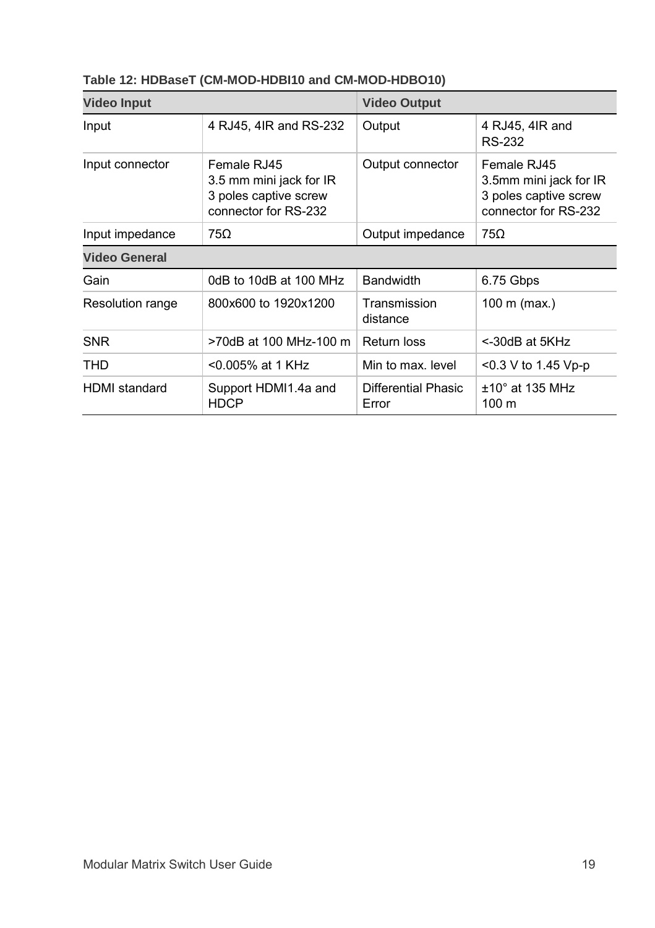| <b>Video Input</b>      |                                                                                         | <b>Video Output</b>                 |                                                                                        |
|-------------------------|-----------------------------------------------------------------------------------------|-------------------------------------|----------------------------------------------------------------------------------------|
| Input                   | 4 RJ45, 4IR and RS-232                                                                  | Output                              | 4 RJ45, 4IR and<br>RS-232                                                              |
| Input connector         | Female RJ45<br>3.5 mm mini jack for IR<br>3 poles captive screw<br>connector for RS-232 | Output connector                    | Female RJ45<br>3.5mm mini jack for IR<br>3 poles captive screw<br>connector for RS-232 |
| Input impedance         | 75Ω                                                                                     | Output impedance                    | 75Ω                                                                                    |
| <b>Video General</b>    |                                                                                         |                                     |                                                                                        |
| Gain                    | 0dB to 10dB at 100 MHz                                                                  | <b>Bandwidth</b>                    | 6.75 Gbps                                                                              |
| <b>Resolution range</b> | 800x600 to 1920x1200                                                                    | Transmission<br>distance            | 100 m (max.)                                                                           |
| <b>SNR</b>              | >70dB at 100 MHz-100 m                                                                  | Return loss                         | <-30dB at 5KHz                                                                         |
| THD                     | <0.005% at 1 KHz                                                                        | Min to max. level                   | $<$ 0.3 V to 1.45 Vp-p                                                                 |
| <b>HDMI</b> standard    | Support HDMI1.4a and<br><b>HDCP</b>                                                     | <b>Differential Phasic</b><br>Error | $±10°$ at 135 MHz<br>100 m                                                             |

### <span id="page-22-0"></span>**Table 12: HDBaseT (CM-MOD-HDBI10 and CM-MOD-HDBO10)**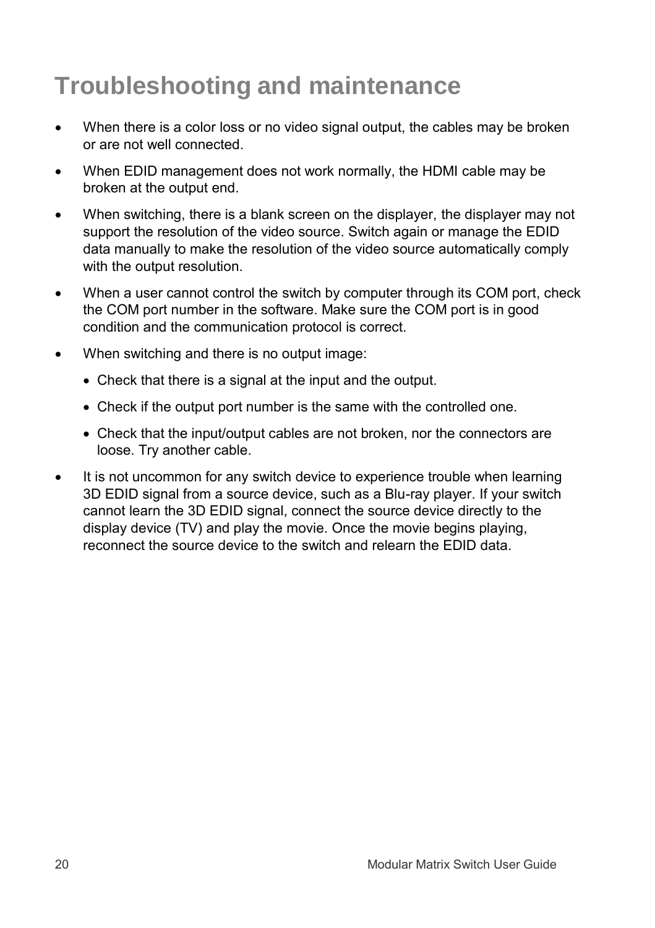# **Troubleshooting and maintenance**

- When there is a color loss or no video signal output, the cables may be broken or are not well connected.
- When EDID management does not work normally, the HDMI cable may be broken at the output end.
- When switching, there is a blank screen on the displayer, the displayer may not support the resolution of the video source. Switch again or manage the EDID data manually to make the resolution of the video source automatically comply with the output resolution.
- When a user cannot control the switch by computer through its COM port, check the COM port number in the software. Make sure the COM port is in good condition and the communication protocol is correct.
- When switching and there is no output image:
	- Check that there is a signal at the input and the output.
	- Check if the output port number is the same with the controlled one.
	- Check that the input/output cables are not broken, nor the connectors are loose. Try another cable.
- It is not uncommon for any switch device to experience trouble when learning 3D EDID signal from a source device, such as a Blu-ray player. If your switch cannot learn the 3D EDID signal, connect the source device directly to the display device (TV) and play the movie. Once the movie begins playing, reconnect the source device to the switch and relearn the EDID data.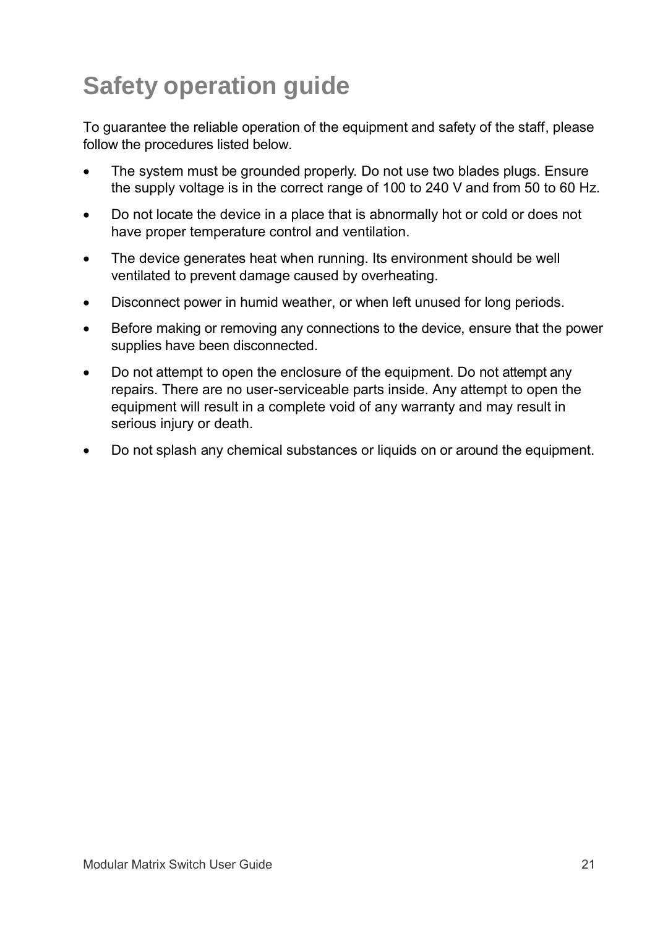# **Safety operation guide**

To guarantee the reliable operation of the equipment and safety of the staff, please follow the procedures listed below.

- The system must be grounded properly. Do not use two blades plugs. Ensure the supply voltage is in the correct range of 100 to 240 V and from 50 to 60 Hz.
- Do not locate the device in a place that is abnormally hot or cold or does not have proper temperature control and ventilation.
- The device generates heat when running. Its environment should be well ventilated to prevent damage caused by overheating.
- Disconnect power in humid weather, or when left unused for long periods.
- Before making or removing any connections to the device, ensure that the power supplies have been disconnected.
- Do not attempt to open the enclosure of the equipment. Do not attempt any repairs. There are no user-serviceable parts inside. Any attempt to open the equipment will result in a complete void of any warranty and may result in serious injury or death.
- Do not splash any chemical substances or liquids on or around the equipment.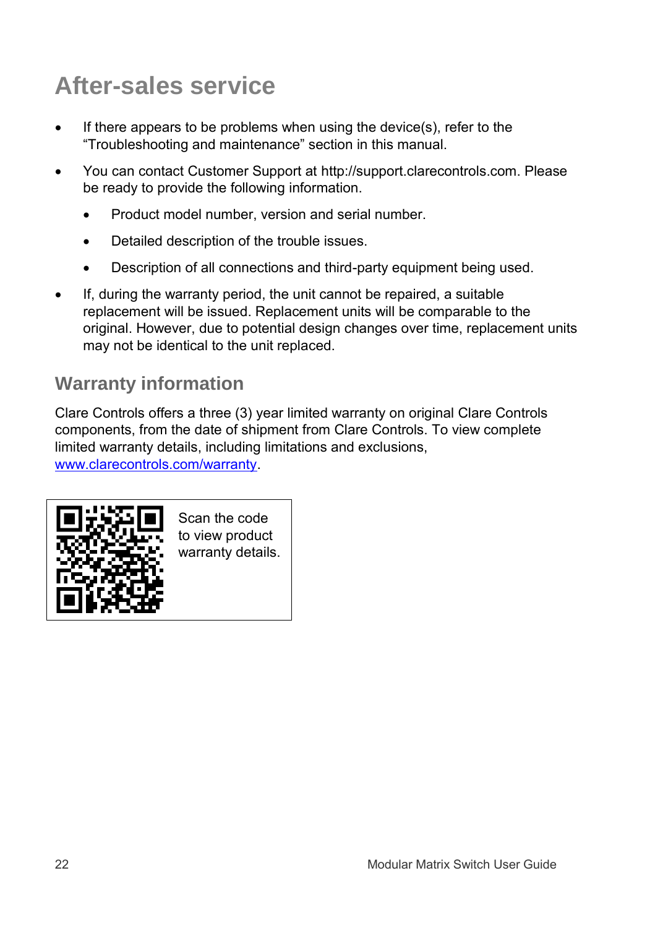# **After-sales service**

- If there appears to be problems when using the device(s), refer to the "Troubleshooting and maintenance" section in this manual.
- You can contact Customer Support at http://support.clarecontrols.com. Please be ready to provide the following information.
	- Product model number, version and serial number.
	- Detailed description of the trouble issues.
	- Description of all connections and third-party equipment being used.
- If, during the warranty period, the unit cannot be repaired, a suitable replacement will be issued. Replacement units will be comparable to the original. However, due to potential design changes over time, replacement units may not be identical to the unit replaced.

## **Warranty information**

Clare Controls offers a three (3) year limited warranty on original Clare Controls components, from the date of shipment from Clare Controls. To view complete limited warranty details, including limitations and exclusions, [www.clarecontrols.com/warranty.](http://www.clarecontrols.com/warranty)